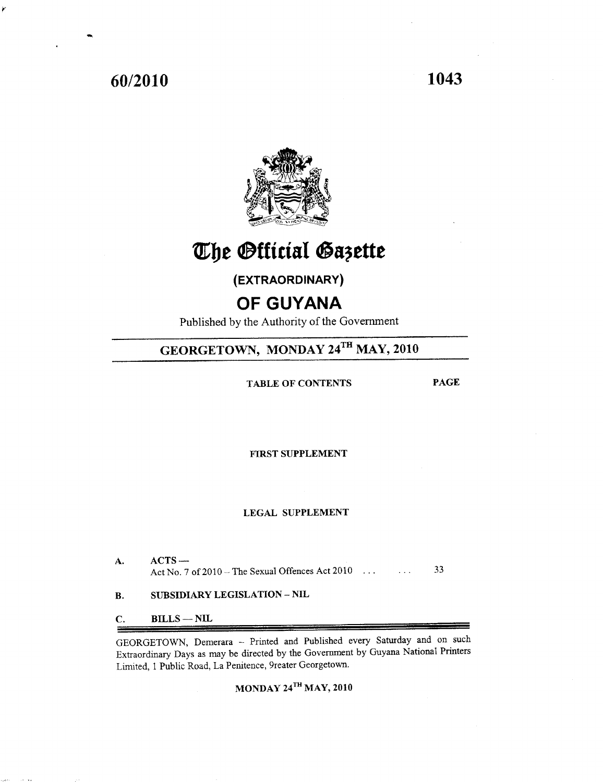# **60/2010 1043**



# The Official Gazette

**(EXTRAORDINARY)**

# **OF GUYANA**

Published by the Authority of the Government

# GEORGETOWN, MONDAY 24TH MAY, 2010

TABLE OF CONTENTS PAGE

fiRST SUPPLEMENT

# LEGAL SUPPLEMENT

- A. ACTS-Act No. 7 of  $2010$  – The Sexual Offences Act  $2010$   $\dots$   $33$
- B. SUBSIDIARY LEGISLATION NIL

C. BILLS-NIL

GEORGETOWN, Demerara -- Printed and Published every Saturday and on such Extraordinary Days as may be directed by the Government by Guyana National Printers Limited, 1 Public Road, La Penitence, 9reater Georgetown.

# MONDAY 24TH MAY, 2010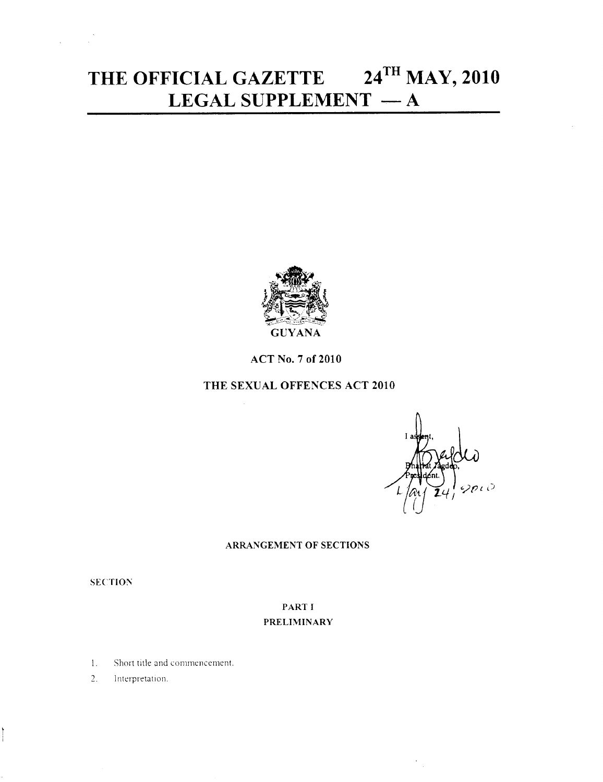# **THE OFFICIAL GAZETTE 24THMAY, 2010 LEGAL SUPPLEMENT** - A



ACT No.7 of 2010

# **THE** SEXUAL OFFENCES ACT 2010

# ARRANGEMENT OF SECTIONS

**SECTION** 

# PART I PRELIMINARY

- 1. Short title and commencement.
- 2. Interpretation.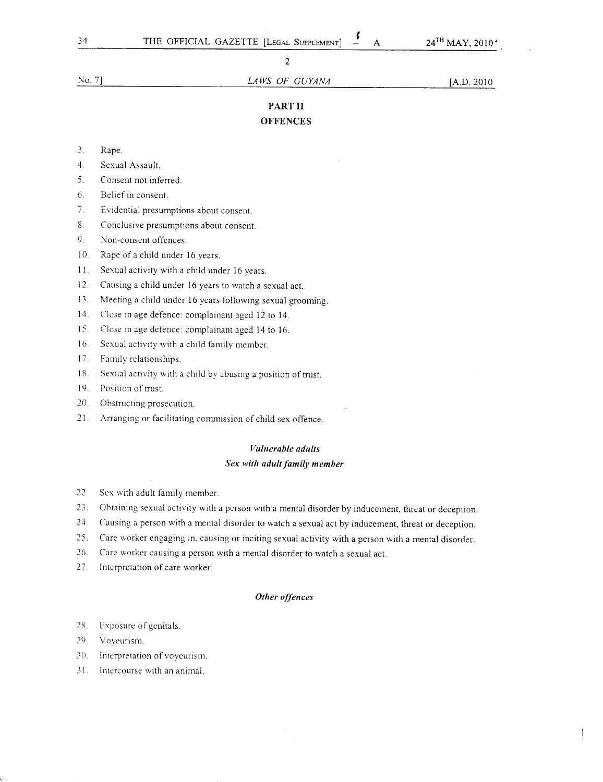No.7] *LA WS OF GUYANA* [A.D. 2010

# PART II **OFFENCES**

- 3. Rape.
- 4. Sexual Assault.
- 5. Consent not inferred.
- 6. Belief in consent.
- 7. Evidential presumptions about consent.
- 8. Conclusive presumptions about consent.
- 9. Non-consent offences.
- 10. Rape of a child under 16 years.
- 11. Sexual activity with a child under 16 years.
- 12. Causing a child under 16 years to watch a sexual act.
- 13. Meeting a child under 16 years following sexual grooming.
- 14. Close in age defence: complainant aged 12 to 14.
- 15. Close in age defence: complainant aged 14 to 16.
- 16. Sexual activity with a child family member.
- 17. Family relationships.
- 18. Sexual activity with a child by abusing a position of trust.
- 19. Position of trust.
- 20. Obstructing prosecution.
- 21. Arranging or facilitating commission of child sex offence.

# *Vulnerable adults*

## *Sex with adult family member*

- 22. Sex with adult family member.
- 23. Obtaining sexual activity with a person with a mental disorder by inducement, threat or deception.
- Causing a person with a mental disorder to watch a sexual act by inducement, threat or deception. 24.
- Care worker engaging in. causing or inciting sexual activity with a person with a mental disorder. 25.
- Care worker causing a person with a mental disorder to watch a sexual act. 26.
- Interpretation of care worker. 27.

## *Other offences*

- 28. Exposure of genitals.
- 29. Voyeurism.
- 30. Interpretation of voyeurism.
- 31. Intercourse with an animal.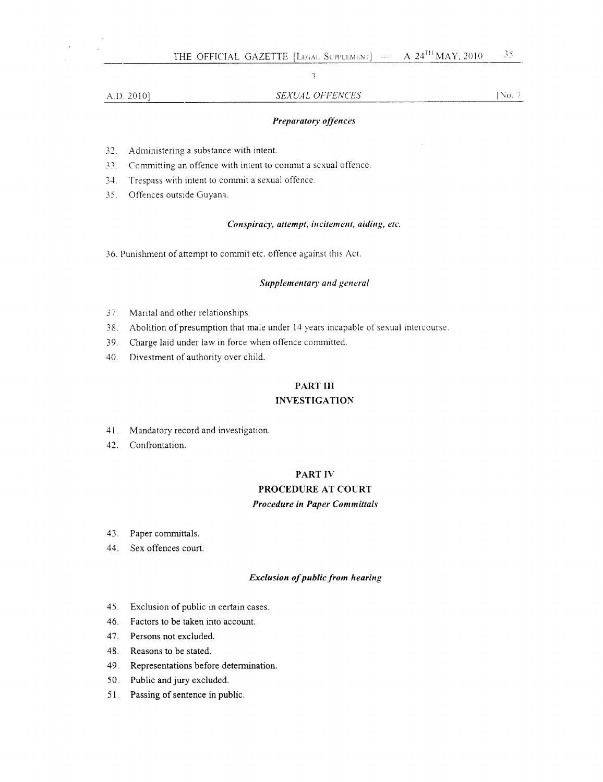# , ,

# A.D. 2010] SEXUAL OFFENCES [No. 7]

# *Preparatory offences*

- 32. Administering a substance with intent.
- 33. Committing an offence with intent to commit a sexual offence.
- 34. Trespass with intent to commit a sexual offence.
- 35. Offences outside Guyana.

## $Conspiracy$ ,  $attention,$   $in$   $citem$ ,  $in$   $i$ ,  $a$  $id$  $in$  $g$ ,  $etc.$

36. Punishment of attempt to commit etc. offence against this Act.

## *Supplementary* and general

- 37. Marital and other relationships.
- 38. Abolition of presumption that male under 14 years incapable of sexual intercourse.
- 39. Charge laid under law in force when offence committed.
- 40. Divestment of authority over child.

# PART III

# **INVESTIGATION**

- 41. Mandatory record and investigation.
- 42. Confrontation.

# PART IV

# PROCEDURE AT COURT **Procedure** in Paper Committals

- 43. Paper committals.
- 44. Sex offences court.

#### *Exclusion of public from hearing*

- 45. Exclusion of public in certain cases.
- 46. Factors to be taken into account.
- 47. Persons not excluded.
- 48. Reasons to be stated.
- 49. Representations before determination.
- 50. Public and jury excluded.
- 51. Passing of sentence in public.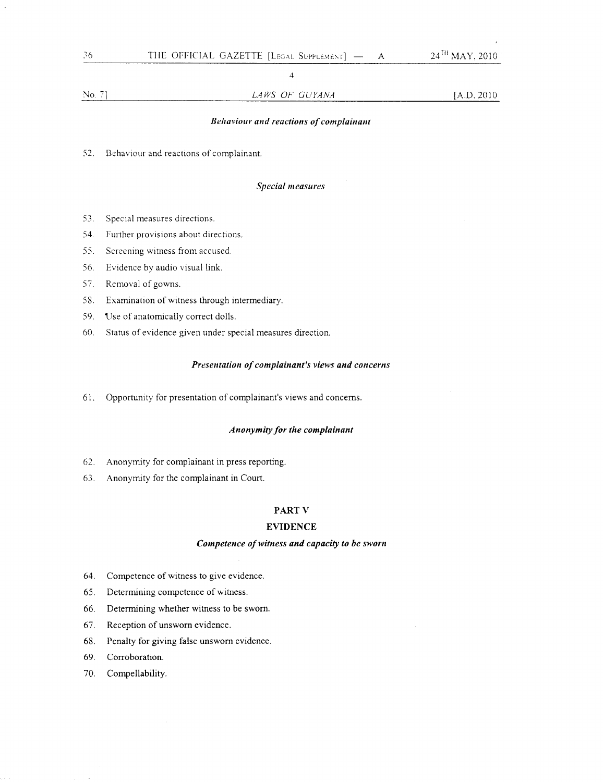4

## *Behaviour and reactions of complainant*

52. Behaviour and reactions of complainant.

# *Special measures*

- 53. Special measures directions.
- 54. Further provisions about directions.
- 55. Screening witness from accused.
- 56. Evidence by audio visual link.
- 57. Removal of gowns.
- 58. Examination of witness through intermediary.
- 59. Use of anatomically correct dolls.
- 60. Status of evidence given under special measures direction.

#### *Presentation of complainant's views and concerns*

61. Opportunity for presentation of complainant's views and concerns.

## *Anonymity for the complainant*

- 62. Anonymity for complainant in press reporting.
- 63. Anonymity for the complainant in Court.

## **PART** V

## **EVIDENCE**

# *Competence of witness and capacity to be sworn*

- 64. Competence of witness to give evidence.
- 65. Determining competence of witness.
- 66. Determining whether witness to be sworn.
- 67. Reception of unsworn evidence.
- 68. Penalty for giving false unsworn evidence.
- 69. Corroboration.
- 70. Compellability.

36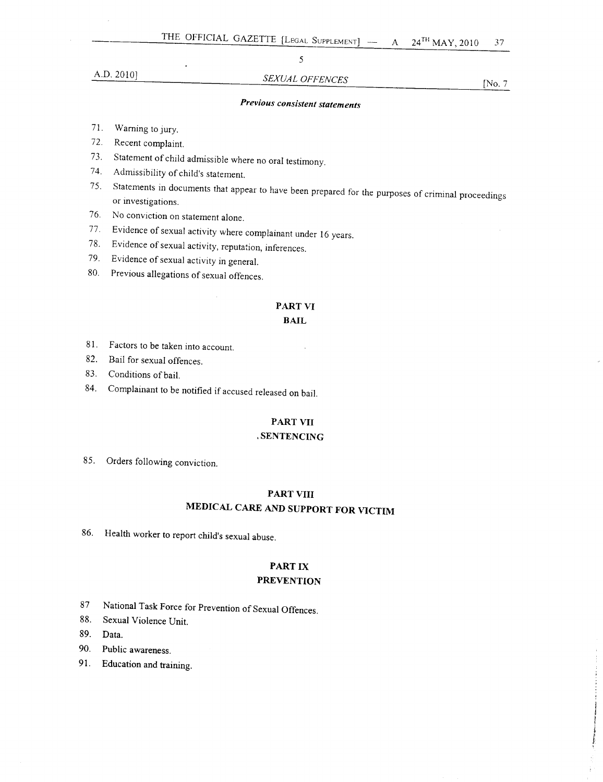# A.D. 2010] *SEXUAL OFFENCES* [No.7

5

# *Previous consistent statements*

- 71. Warning to jury.
- 72. Recent complaint.
- 73. Statement of child admissible where no oral testimony.
- 74. Admissibility of child's statement.
- 75. Statements in documents that appear to have been prepared for the purposes of criminal proceedings or investigations.
- 76. No conviction on statement alone.
- 77. Evidence of sexual activity where complainant under 16 years.
- 78. Evidence of sexual activity, reputation, inferences.
- 79. Evidence of sexual activity in general.
- 80. Previous allegations of sexual offences.

# **PART VI**

# **BAIL**

- 81. Factors to be taken into account.
- 82. Bail for sexual offences.
- 83. Conditions of bail.
- 84. Complainant to be notified if accused released on bail.

# **PART VII**

# , **SENTENCING**

85. Orders following conviction.

# **PART VIII MEDICAL CARE AND SUPPORT FOR VICTIM**

86. Health worker to report child's sexual abuse.

# PART IX

# **PREVENTION**

- 87 National Task Force for Prevention of Sexual Offences.
- 88. Sexual Violence Unit.
- 89. Data.
- 90. Public awareness.
- 91. Education and training.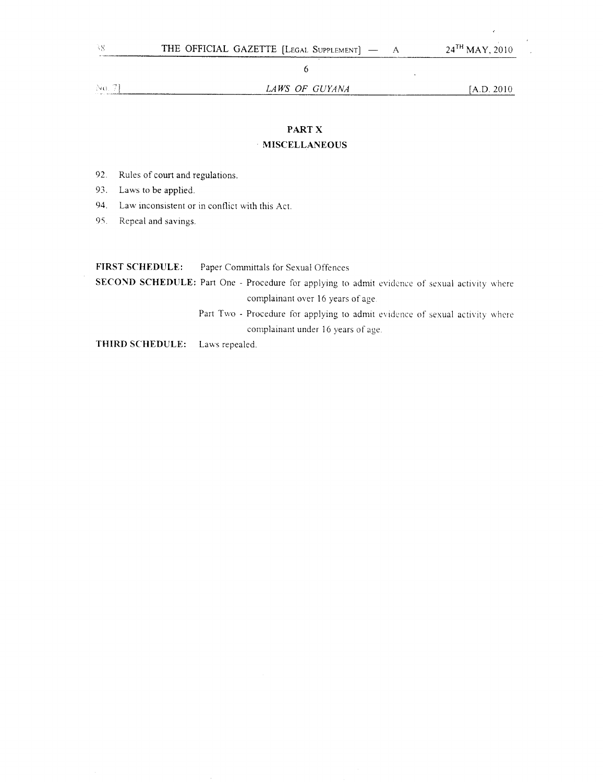$\bar{z}$ 

 $\frac{N\alpha}{2}$  7]

*LA WS OF GUYANA* [A.D. 2010

ż

# **PART X**

# **MISCELLANEOUS**

- 92. Rules of court and regulations.
- 93. Laws to be applied.
- 94. Law inconsistent or in conflict with this Act.
- 95. Repeal and savings.

| <b>FIRST SCHEDULE:</b>                | Paper Committals for Sexual Offences                                                          |
|---------------------------------------|-----------------------------------------------------------------------------------------------|
|                                       | SECOND SCHEDULE: Part One - Procedure for applying to admit evidence of sexual activity where |
|                                       | complainant over 16 years of age.                                                             |
|                                       | Part Two - Procedure for applying to admit evidence of sexual activity where                  |
|                                       | complainant under 16 years of age.                                                            |
| <b>THIRD SCHEDULE:</b> Laws repealed. |                                                                                               |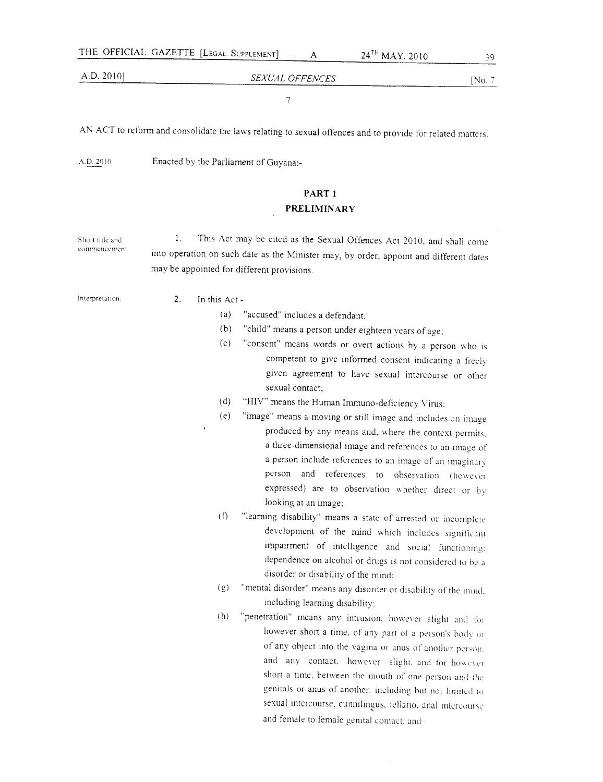#### A.D,2010J

# *SEXUAL OFFENCES* [No, 7

7

AN ACT to reform and consolidate the laws relating to sexual offences and to provide for related matters,

AD 2010 Enacted by tbe Parliament of Guyana:-

# **PART 1 PRELIMINARY**

Short title and **commencement** 1. This Act may be cited as the Sexual Offences Act 2010, and shall come into operation on such date as the Minister may, by order, appoint and different dates may be appointed for different provisions,

Interpretation. 2. In this Act -

- (a) "accused" includes a defendant.
- (b) "child" means a person under eighteen years of age;
- (c) "consent" means words or overt actions by a person who IS competent to give informed consent indicating a freely given agreement to have sexual intercourse or other sexual contact;
- (d) "HIV" means the Human Immuno-deficiency Virus;
- (e) "image" means a moving or stil1 image and includes an inuge produced by any means and. where the context permits. a three-dimensional image and references to an image of a person include references to an image of an imaginary person and references to observation (bowever expressed) are to observation whether direct or by looking at an image;
- (f) "learning disability" means a state of arrested or incomplete development of the mind which includes significant impairment of intelligence and social functioning: dependence on alcohol or drugs is not considered to be a disorder or disability of the mind;
- (g) "mental disorder" means any disorder or disability of the mind. including learning disability:
- $(h)$  "penetration" means any intrusion, however slight and for however short a time, of any part of a person's body or of any object into the vagina or anus of another person. and any contact. however slight, and for however short a time, between the mouth of one person and the genitals or anus of another, including but not limited to sexual intercourse, cunnilingus, fellatio, anal intercours and female to female genital contact: and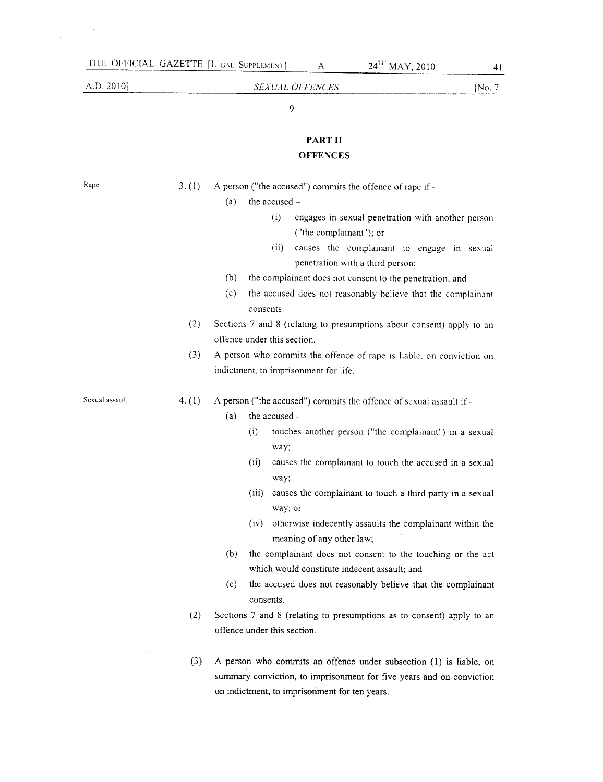# AD.2010] *SEXUAL OFFENCES* [No.7

9

# **PAR T II OFFENCES**

Rape. 3. (1) A person ("the accused") commits the offence of rape if -

- (a) the accused  $-$ 
	- (i) engages in sexual penetration with another person ("the complainant"); or
	- (ii) causes the complainant to engage in sexual penetration with a third person;
- (b) the complainant does not consent to the penetration; and
- (c) the accused does not reasonably believe that the complainant consents.
- (2) Sections 7 and 8 (relating to presumptions about consent) apply to an offence under this section.
- (3) A person who commits the offence of rape is liable, on conviction on indictment, to imprisonment for life.

Sexual assault. 4. (1) A person ("the accused") commits the offence of sexual assault if-

- (a) the accused
	- (i) touches another person ("the complainant") in a sexual way;
	- (ii) causes the complainant to touch the accused in a sexual way;
	- (iii) causes the complainant to touch a third party in a sexual way; or
	- (iv) otherwise indecently assaults the complainant within the meaning of any other law;
- (b) the complainant does not consent to the touching or the act which would constitute indecent assault; and
- (c) the accused does not reasonably believe that the complainant consents.
- (2) Sections 7 and 8 (relating to presumptions as to consent) apply to an offence under this section.
- (3) A person who commits an offence under subsection (1) is liable, on summary conviction, to imprisonment for five years and on conviction on indictment, to imprisonment for ten years.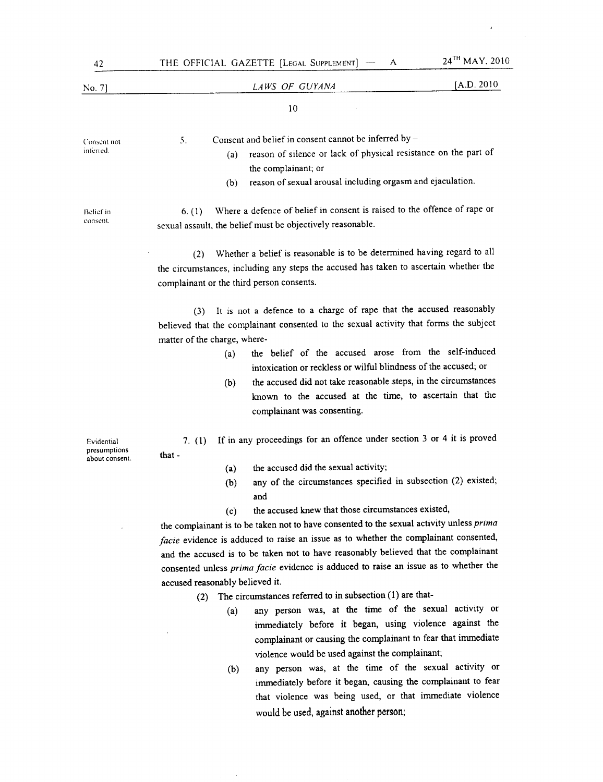| 42                                           | 24TH MAY, 2010<br>THE OFFICIAL GAZETTE [LEGAL SUPPLEMENT] -<br>A                                                                                                                                                                                                                                                                                                                                                                                                                                                                                                                                                                                                                                                                                                                                                                                                                                                                                              |
|----------------------------------------------|---------------------------------------------------------------------------------------------------------------------------------------------------------------------------------------------------------------------------------------------------------------------------------------------------------------------------------------------------------------------------------------------------------------------------------------------------------------------------------------------------------------------------------------------------------------------------------------------------------------------------------------------------------------------------------------------------------------------------------------------------------------------------------------------------------------------------------------------------------------------------------------------------------------------------------------------------------------|
| No. 7]                                       | [A.D. 2010<br>LAWS OF GUYANA                                                                                                                                                                                                                                                                                                                                                                                                                                                                                                                                                                                                                                                                                                                                                                                                                                                                                                                                  |
|                                              | 10                                                                                                                                                                                                                                                                                                                                                                                                                                                                                                                                                                                                                                                                                                                                                                                                                                                                                                                                                            |
| Consent not<br>inferred.                     | Consent and belief in consent cannot be inferred by -<br>5.<br>reason of silence or lack of physical resistance on the part of<br>(a)<br>the complainant; or<br>reason of sexual arousal including orgasm and ejaculation.<br>(b)                                                                                                                                                                                                                                                                                                                                                                                                                                                                                                                                                                                                                                                                                                                             |
| Belief in<br>consent.                        | Where a defence of belief in consent is raised to the offence of rape or<br>6. (1)<br>sexual assault, the belief must be objectively reasonable.                                                                                                                                                                                                                                                                                                                                                                                                                                                                                                                                                                                                                                                                                                                                                                                                              |
|                                              | Whether a belief is reasonable is to be determined having regard to all<br>(2)<br>the circumstances, including any steps the accused has taken to ascertain whether the<br>complainant or the third person consents.                                                                                                                                                                                                                                                                                                                                                                                                                                                                                                                                                                                                                                                                                                                                          |
|                                              | It is not a defence to a charge of rape that the accused reasonably<br>(3)<br>believed that the complainant consented to the sexual activity that forms the subject<br>matter of the charge, where-<br>the belief of the accused arose from the self-induced<br>(a)<br>intoxication or reckless or wilful blindness of the accused; or<br>the accused did not take reasonable steps, in the circumstances<br>(b)<br>known to the accused at the time, to ascertain that the<br>complainant was consenting.                                                                                                                                                                                                                                                                                                                                                                                                                                                    |
| Evidential<br>presumptions<br>about consent. | If in any proceedings for an offence under section 3 or 4 it is proved<br>7. $(1)$<br>that -<br>the accused did the sexual activity;<br>(a)<br>any of the circumstances specified in subsection (2) existed;<br>(b)<br>and<br>the accused knew that those circumstances existed,<br>(c)<br>the complainant is to be taken not to have consented to the sexual activity unless prima<br>facie evidence is adduced to raise an issue as to whether the complainant consented,<br>and the accused is to be taken not to have reasonably believed that the complainant<br>consented unless prima facie evidence is adduced to raise an issue as to whether the<br>accused reasonably believed it.<br>The circumstances referred to in subsection (1) are that-<br>(2)<br>any person was, at the time of the sexual activity or<br>(a)<br>immediately before it began, using violence against the<br>complainant or causing the complainant to fear that immediate |

(b) any person was, at the time of the sexual activity or immediately before it began, causing the complainant to fear that violence was being used, or that immediate violence would be used, against another person;

 $\epsilon$ 

 $\sim$  .

violence would be used against the complainant;

J,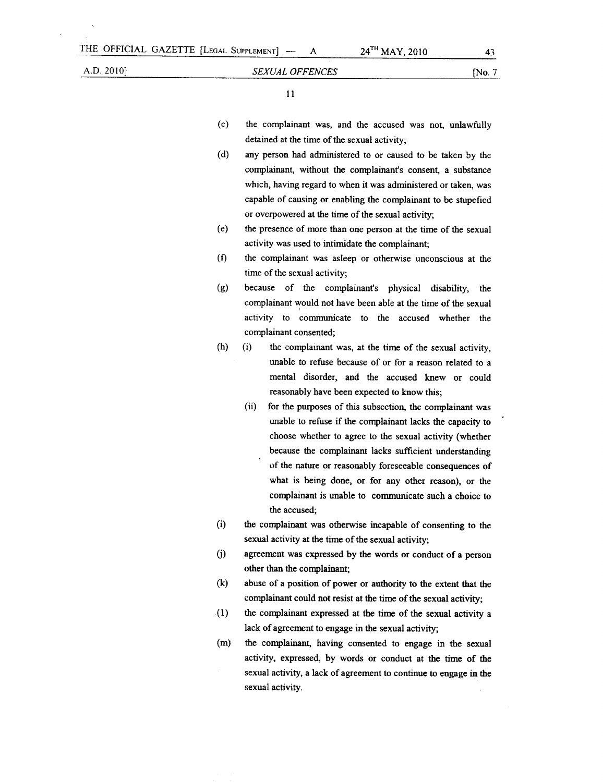$\bf A$ 

I I

- (c) the complainant was, and the accused was not, unlawfully detained at the time of the sexual activity;
- (d) any person had administered to or caused to be taken by the complainant, without the complainant's consent, a substance which, having regard to when it was administered or taken, was capable of causing or enabling the complainant to be stupefied or overpowered at the time of the sexual activity;
- (e) the presence of more than one person at the time of the sexual activity was used to intimidate the complainant;
- (f) the complainant was asleep or otherwise unconscious at the time of the sexual activity;
- (g) because of the complainant's physical disability, the complainant would not have been able at the time of the sexual activity to communicate to the accused whether the complainant consented;
- (h) (i) the complainant was, at the time of the sexual activity, unable to refuse because of or for a reason related to a mental disorder, and the accused knew or could reasonably have been expected to know this;
	- (ii) for the purposes of this subsection, the complainant was unable to refuse if the complainant lacks the capacity to choose whether to agree to the sexual activity (whether because the complainant lacks sufficient understanding of the nature or reasonably foreseeable consequences of what is being done, or for any other reason), or the complainant is unable to communicate such a choice to the accused;
- (i) the complainant was otherwise incapable of consenting to the sexual activity at the time of the sexual activity;
- (j) agreement was expressed by the words or conduct of a person other than the complainant;
- (k) abuse of a position of power or authority to the extent that the complainant could not resist at the time of the sexual activity;
- .(1) the complainant expressed at the time of the sexual activity a lack of agreement to engage in the sexual activity;
- (m) the complainant, having consented to engage in the sexual activity, expressed, by words or conduct at the time of the sexual activity, a lack of agreement to continue to engage in the sexual activity.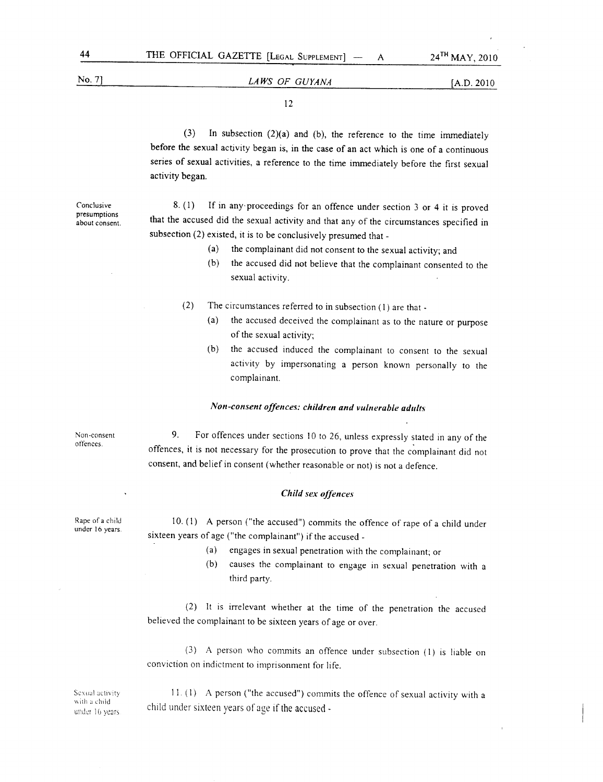# [A.D. 2010 No.7] *LA WS OF GUYANA*

12

(3) In subsection (2)(a) and (b), the reference to the time immediately before the sexual activity began is, in the case of an act which is one of a continuous series of sexual activities, a reference to the time immediately before the first sexual activity began.

Conclusive presumptions about consent.

8. (1) If in any' proceedings for an offence under section 3 or 4 it is proved that the accused did the sexual activity and that any of the circumstances specified in subsection (2) existed, it is to be conclusively presumed that -

- (a) the complainant did not consent to the sexual activity; and
- (b) the accused did not believe that the complainant consented to the sexual activity.
- (2) The circumstances referred to in subsection (1) are that
	- (a) the accused deceived the complainant as to the nature or purpose of the sexual activity;
	- (b) the accused induced the complainant to consent to the sexual activity by impersonating a person known personally to the complainant.

# *Non-consent offences: children and vulnerable adults*

Non-consent offences.

9. For offences under sections 10 to 26, unless expressly stated in any of the offences, it is not necessary for the prosecution to prove that the complainant did not consent, and belief in consent (whether reasonable or not) is not a defence.

### *Child sex offences*

10. (I) A person ("the accused") commits the offence of rape of a child under sixteen years of age ("the complainant") if the accused-

- (a) engages in sexual penetration with the complainant; or
- (b) causes the complainant to engage in sexual penetration with a third party.

(2) It is irrelevant whether at the time of the penetration the accused believed the complainant to be sixteen years of age or over.

(3) A person who commits an offence under subsection (1) is liable on conviction on indictment to imprisonment for life.

Sexual activity \\;Ih 3 child under 16 years

11. (1) A person ("the accused") commits the offence of sexual activity with a child under sixteen years of age if the accused -

Rape of a child under 16 years.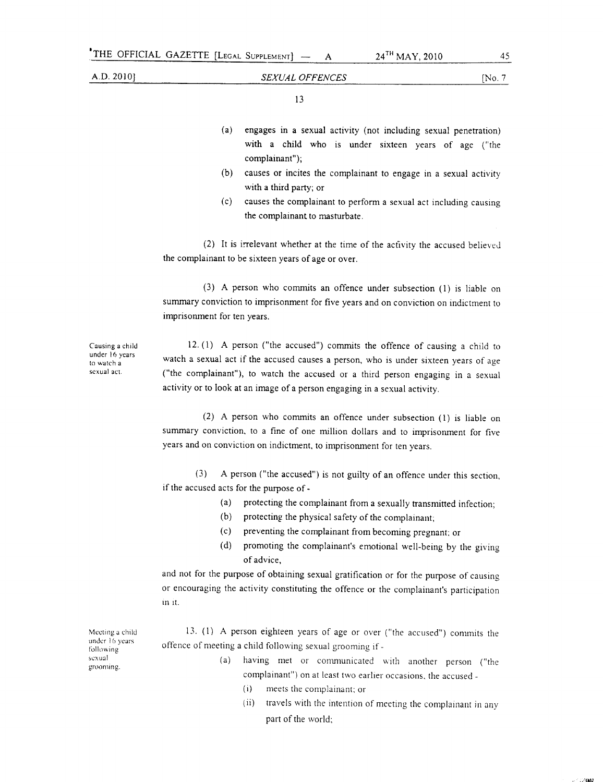13

- (a) engages in a sexual activity (not including sexual penetration) with a child who is under sixteen years of age ("the complainant");
- (b) causes or incites the complainant to engage in a sexual activity with a third party; or
- (c) causes the complainant to perform a sexual act including causing the complainant to masturbate.

(2) It is irrelevant whether at the time of the activity the accused believed the complainant to be sixteen years of age or over.

(3) A person who *commits* an offence under subsection (1) is liable on summary conviction to imprisonment for five years and on conviction on indictment to imprisonment for ten years.

Causing a child under 16 years to watch a sexual act.

12. (1) A person ("the accused") commits the offence of causing a child to watch a sexual act if the accused causes a person, who is under sixteen years of age ("the complainant"), to watch the accused or a third person engaging in a sexual activity or to look at an image of a person engaging in a sexual activity.

(2) A person who commits an offence under subsection (1) is liable on summary conviction, to a fine of one million dollars and to imprisonment for five years and on conviction on indictment, to imprisonment for ten years.

(3) A person ("the accused") is not guilty of an offence under this section, if the accused acts for the purpose of -

- (a) protecting the complainant from a sexually transmitted infection;
- (b) protecting the physical safety of the complainant;
- (c) preventing the complainant from becoming pregnant; or
- (d) promoting the complainant's emotional well-being by the giving of advice,

and not for the purpose of obtaining sexual gratification or for the purpose of causing or encouraging the activity constituting the offence or the complainant's participation in it.

Meeting a ehild under 1 (, years **following** sexual grooming.

13. (1) A person eighteen years of age or over ("the accused") commits the offence of meeting a child following sexual grooming if -

- (a) having met or communicated with another person ("the complainant") on at least two earlier occasions, the accused \_
	- (i) meets the complainant; or
	- (ii) travels with the intention of meeting the complainant in any part of the world;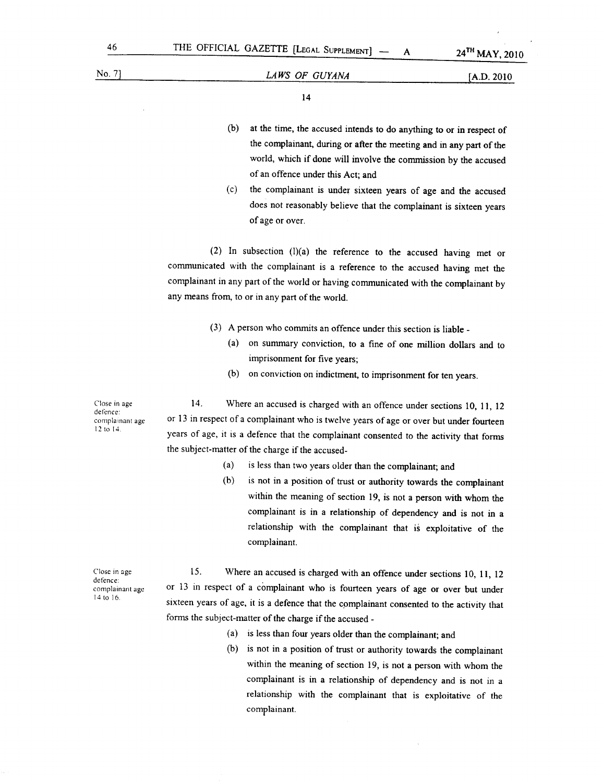14

- (b) at the time, the accused intends to do anything to or in respect of the complainant, during or after the meeting and in any part of the world, which if done will involve the commission by the accused of an offence under this Act; and
- (c) the complainant is under sixteen years of age and the accused does not reasonably believe that the complainant is sixteen years of age or over.

(2) In subsection  $(l)(a)$  the reference to the accused having met or communicated with the complainant is a reference to the accused having met the complainant in any part of the world or having communicated with the complainant by any means from, to or in any part of the world.

- (3) A person who commits an offence under this section is liable \_
	- (a) on summary conviction, to a fine of one million dollars and to imprisonment for five years;
	- (b) on conviction on indictment, to imprisonment for ten years.

Close in age defence: complainant age 12 to 14.

14. Where an accused is charged with an offence under sections 10, 11, 12 or 13 in respect of a complainant who is twelve years of age or over but under fourteen years of age, it is a defence that the complainant consented to the activity that forms the subject-matter of the charge if the accused-

- (a) is less than two years older than the complainant; and
- (b) is not in a position of trust or authority towards the complainant within the meaning of section 19, is not a person with whom the complainant is in a relationship of dependency and is not in a relationship with the complainant that is exploitative of the complainant.

Close in age defence: complainant age 14 to 16

15. Where an accused is charged with an offence under sections 10, 11, 12 or 13 in respect of a complainant who is fourteen years of age or over but under sixteen years of age, it is a defence that the complainant consented to the activity that forms the subject-matter of the charge if the accused-

- (a) is less than four years older than the complainant; and
- (b) is not in a position of trust or authority towards the complainant within the meaning of section 19, is not a person with whom the complainant is in a relationship of dependency and is not in a relationship with the complainant that is exploitative of the complainant.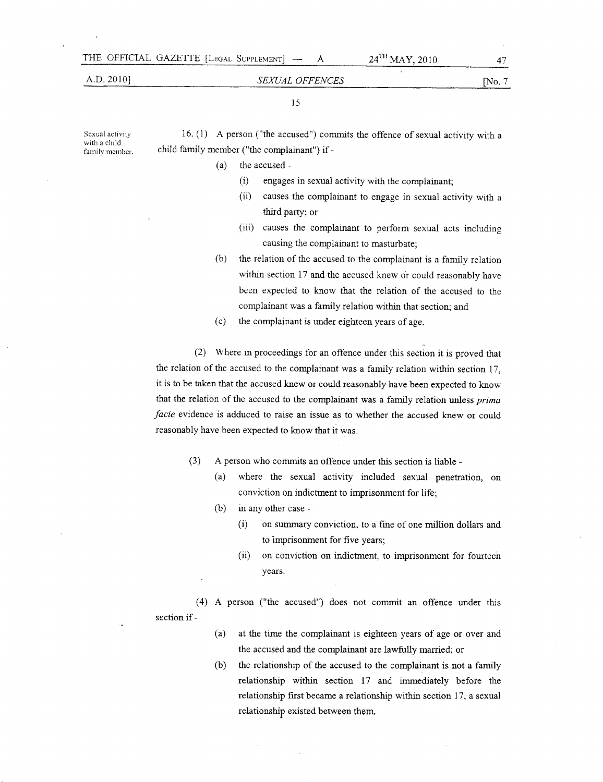# 24<sup>TH</sup> MAY, 2010

### A.D. 2010]

### *SEXUAL OFFENCES*

# [No.7

15

Sexual activity with a child family member.

16. (1) A person ("the accused") commits the offence of sexual activity with a child family member ("the complainant") if -

(a) the accused -

- (i) engages in sexual activity with the complainant;
- (ii) causes the complainant to engage in sexual activity with a third party; or
- (iii) causes the complainant to perform sexual acts including causing the complainant to masturbate;
- (b) the relation of the accused to the complainant is a family relation within section 17 and the accused knew or could reasonably have been expected to know that the relation of the accused to the complainant was a family relation within that section; and
- (c) the complainant is under eighteen years of age.

(2) Where in proceedings for an offence under this section it is proved that the relation of the accused to the complainant was a family relation within section 17, it is to be taken that the accused knew or could reasonably have been expected to know that the relation of the accused to the complainant was a family relation unless *prima facie* evidence is adduced to raise an issue as to whether the accused knew or could reasonably have been expected to know that it was.

- (3) A person who commits an offence under this section is liable
	- (a) where the sexual activity included sexual penetration, on conviction on indictment to imprisonment for life;
	- (b) in any other case
		- (i) on summary conviction, to a fme of one million dollars and to 'imprisonment for five years;
		- (ii) on conviction on indictment, to imprisonment for fourteen years.

(4) A person ("the accused") does not commit an offence under this section if -

- (a) at the time the complainant is eighteen years of age or over and the accused and the complainant are lawfully married; or
- (b) the relationship of the accused to the complainant is not a family relationship within section 17 and immediately before the relationship first became a relationship within section 17, a sexual relationship existed between them,

47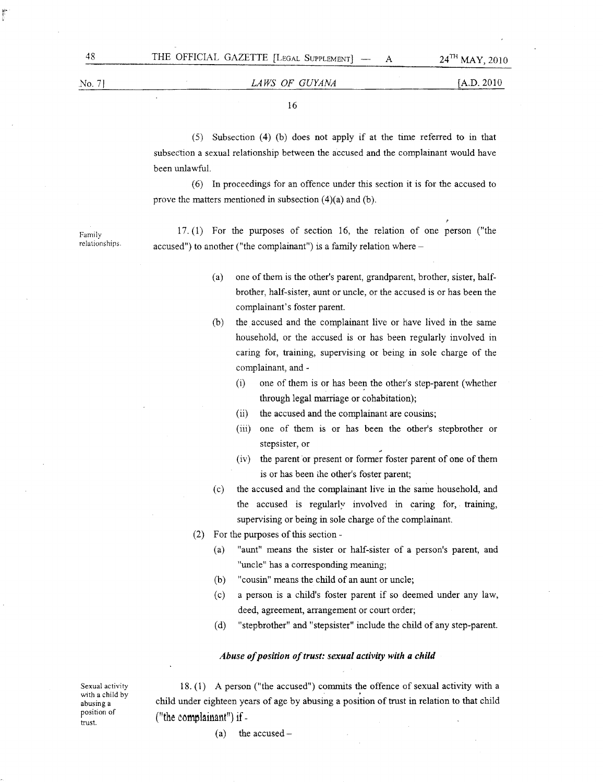Family relationships.

# No.71 *LAWS OF GUYANA* [A.D. 2010

16

(5) Subsection (4) (b) does not apply if at the time referred to in that subsection a sexual relationship between the accused and the complainant would have been unlawful.

(6) In proceedings for an offence under this section it is for the accused to prove the matters mentioned in subsection (4)(a) and (b).

17. (1) For the purposes of section 16, the relation of one person ("the accused") to another ("the complainant") is a family relation where  $-$ 

- (a) one of them is the other's parent, grandparent, brother, sister, halfbrother, half-sister, aunt or uncle, or the accused is or has been the complainant's foster parent.
- (b) the accused and the complainant live or have lived in the same household, or the accused is or has been regularly involved in caring for, training, supervising or being in sole charge of the complainant, and -
	- $(i)$  one of them is or has been the other's step-parent (whether through legal marriage or cohabitation);
	- (ii) the accused and the complainant are cousins;
	- (iii) one of them is or has been the other's stepbrother or stepsister, or
	- (iv) the parent or present or former foster parent of one of them is or has been ihe other's foster parent;
- (c) the accused and the complainant live in the same household, and the accused is regularly involved in caring for, training, supervising or being in sole charge of the complainant.
- (2) For the purposes of this section-
	- (a) "aunt" means the sister or half-sister of a person's parent, and "uncle" has a corresponding meaning;
	- (b) "cousin" means the child of an aunt or uncle;
	- (c) a person is a child's foster parent if so deemed under any law, deed, agreement, arrangement or court order;
	- (d) "stepbrother" and" stepsister" include the child of any step-parent.

#### *Abuse of position of trust: sexual activity with a child*

Sexual activity with a child by abusing a position of trust.

18. (1) A person ("the accused") commits the offence of sexual activity with a child under eighteen years of age by abusing a position of trust in relation to that child ("the complainant") if  $-$ 

 $(a)$  the accused -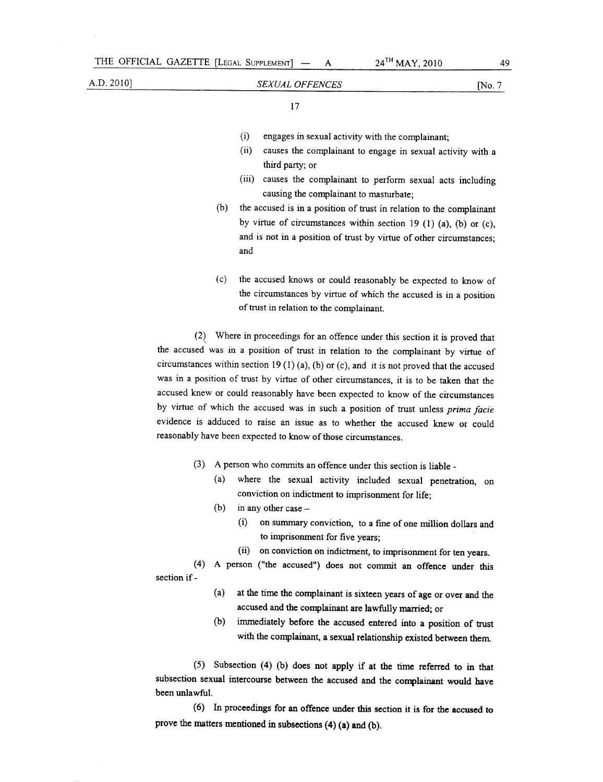- A

17

- (i) engages in sexual activity with the complainant;
- (ii) causes the complainant to engage in sexual activity with a third party; or
- (iii) causes the complainant to perform sexual acts including causing the complainant to masturbate;
- (b) the accused is in a position of trust in relation to the complainant by virtue of circumstances within section 19 (1) (a), (b) or (c), and is not in a position of trust by virtue of other circumstances; and
- (c) the accused knows or could reasonably be expected to know of the circumstances by virtue of which the accused is in a position of trust in relation to the complainant.

*(2J* Where in proceedings for an offence under this section it is proved that the accused was in a position of trust in relation to the complainant by virtue of circumstances within section 19 (1) (a), (b) or (c), and it is not proved that the accused was in a position of trust by virtue of other circumstances, it is to be taken that the accused knew or could reasonably have been expected to know of the circumstances by virtue of which the accused was in such a position of trust unless *prima facie* evidence is adduced to raise an issue as to whether the accused knew or could reasonably have been expected to know of those circumstances.

- (3) A person who commits an offence under this section is liable \_
	- (a) where the sexual activity included sexual penetration, on conviction on indictment to imprisonment for life;
	- (b) in any other case  $-$ 
		- (i) on summary conviction, to a fme of one million dollars and to imprisonment for five years;
		- (ii) on conviction on indictment, to imprisonment for ten years.

(4) A person ("the accused") does not commit an offence under this section if -

- (a) at the time the complainant is sixteen years of age or over and the accused and the complainant are lawfully married; or
- (b) immediately before the accused entered into a position of trust with the complainant, a sexual relationship existed between them

(5) Subsection (4) (b) does not apply if at the time referred to in that subsection sexual intercourse between the accused and the complainant would have been unlawful.

(6) In proceedings for an offence under this section it is for the accused to prove the matters mentioned in subsections (4) (a) and (b).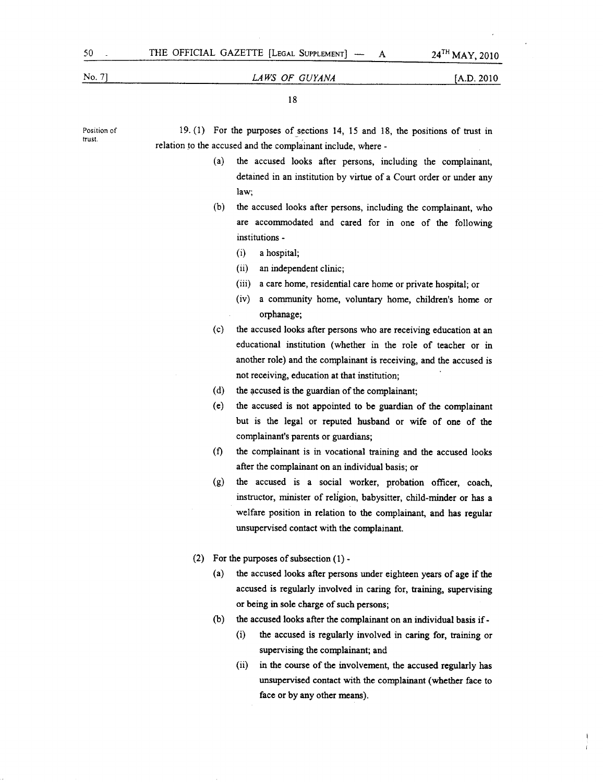## No.7) *LAWS OF GUYANA* [A.D. 2010

18

Position of trust. 19.  $(1)$  For the purposes of sections 14, 15 and 18, the positions of trust in relation to the accused and the complainant include, where -(a) the accused looks after persons, including the complainant, detained in an institution by virtue of a Court order or under any law; (b) the accused looks after persons, including the complainant, who are accommodated and cared for in one of the following institutions - (i) a hospital; (ii) an independent clinic; (iii) a care home, residential care home or private hospital; or (iv) a community home, voluntary home, children's home or orphanage; (c) the accused looks after persons who are receiving education at an educational institution (whether in the role of teacher or in another role) and the complainant is receiving, and the accused is not receiving, education at that institution;  $(d)$  the accused is the guardian of the complainant; (e) the accused is not appointed to be guardian of the complainant but is the legal or reputed husband or wife of one of the complainant's parents or guardians; (f) the complainant is in vocational training and the accused looks after the complainant on an individual basis; or (g) the accused is a social worker, probation officer, coach, instructor, minister of religion, babysitter, child-minder or has a welfare position in relation to the complainant, and has regular unsupervised contact with the complainant. (2) For the purposes of subsection (1)- (a) the accused looks after persons under eighteen years of age if the accused is regularly involved in caring for, training, supervising or being in sole charge of such persons; (b) the accused looks after the complainant on an individual basis if - (i) the accused is regularly involved in caring for, training or supervising the complainant; and (ii) in the course of the involvement, the accused regularly has unsupervised contact with the complainant (whether face to face or by any other means).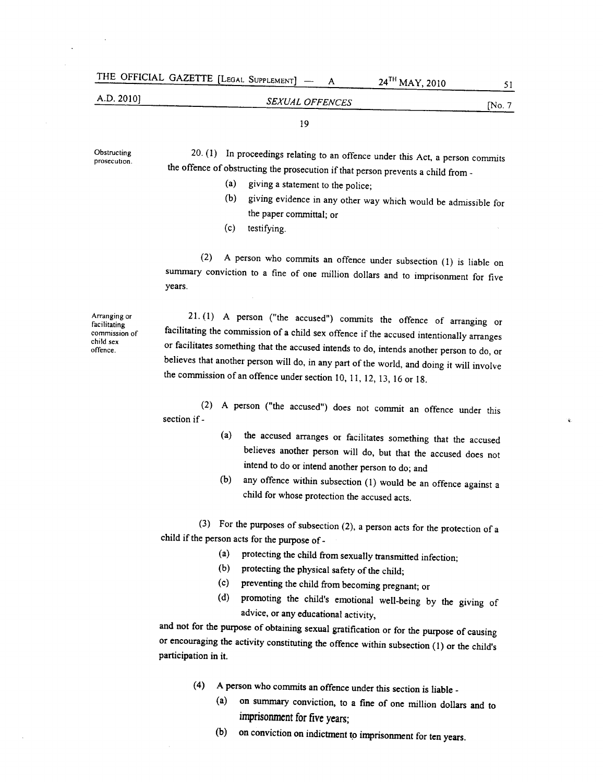| THE OFFICIAL GAZETTE [LEGAL SUPPLEMENT] - |                 | $24$ <sup>TH</sup> MAY, 2010 |           |
|-------------------------------------------|-----------------|------------------------------|-----------|
| A.D. 20101                                | SEXUAL OFFENCES |                              | $N_0$ . 7 |

19

20. (1) In proceedings relating to an offence under this Act, a person commits the offence of obstructing the prosecution if that person prevents a child from -(a) giving a statement to the police; (b) giving evidence in any other way which would be admissible for the paper committal; or (c) testifying. (2) A person who commits an offence under subsection (I) is liable on years. 21. (I) A person ("the accused") commits the offence of arranging or facilitating the commission of a child sex offence if the accused intentionally arranges or facilitates something that the accused intends to do, intends another person to do, or believes that another person will do, in any part of the world, and doing it will involve the commission of an offence under section 10, II, 12, 13, 16 or 18. (2) A person ("the accused") does not commit an offence under this section if - (a) the accused arranges or facilitates something that the accused believes another person will do, but that the accused does not intend to do or intend another person to do; and (b) any offence within subsection (I) would be an offence against a child for whose protection the accused acts. (3) For the purposes of subsection (2), a person acts for the protection of a child if the person acts for the purpose of -(a) protecting the child from sexually transmitted infection; (b) protecting the physical safety of the child; (c) preventing the child from becoming pregnant; or (d) promoting the child's emotional well-being by the giving of advice, or any educational activity, and not for the purpose of obtaining sexual gratification or for the purpose of causing or encouraging the activity constituting the offence within subsection (I) or the child's participation in it.

- (4) A person who commits an offence under this section is liable -
	- (a) on summary conviction, to a fine of one million dollars and to imprisonment for five years;
	- (b) on conviction on indictment to imprisonment for ten years.

**Obstructing** prosecution.

summary conviction to a fine of one million dollars and to imprisonment for five

Arranging or facilitating commission of child sex offence.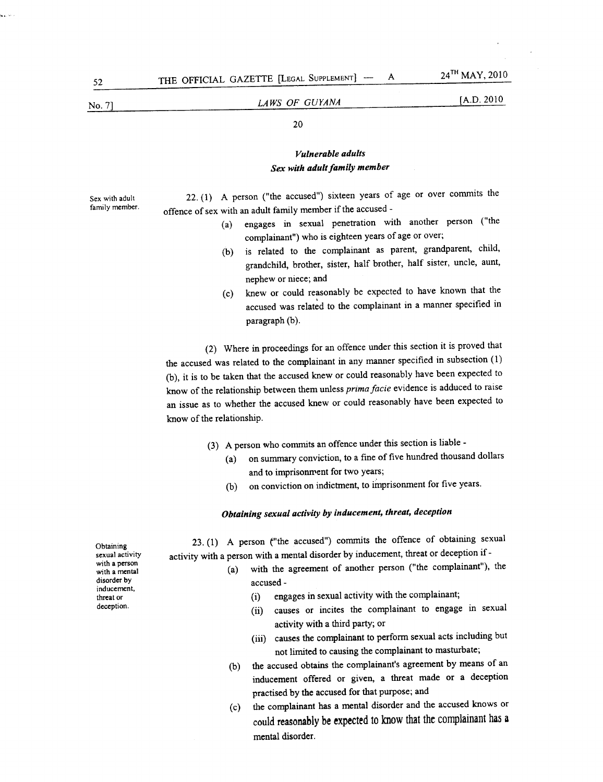Sex with adult family member.

# **LAWS OF GUYANA** [A.D. 2010

# 20

# *Vulnerable adults Sex with adult family member*

22.  $(1)$  A person ("the accused") sixteen years of age or over commits the offence of sex with an adult family member if the accused -

- (a) engages in sexual penetration with another person ("the complainant") who is eighteen years of age or over;
- (b) is related to the complainant as parent, grandparent, child, grandchild, brother, sister, half brother, half sister, uncle, aunt, nephew or niece; and
- (c) knew or could reasonably be expected to have known that the accused was related to the complainant in a manner specified in paragraph (b).

(2) Where in proceedings for an offence under this section it is proved that the accused was related to the complainant in any manner specified in subsection (1) (b), it is to be taken that the accused knew or could reasonably have been expected to know of the relationship between them unless *prima facie* evidence is adduced to raise an issue as to whether the accused knew or could reasonably have been expected to know of the relationship.

- (3) A person who commits an offence under this section is liable
	- (a) on summary conviction, to a fine of five hundred thousand dollars and to imprisonment for two years;
	- (b) on conviction on indictment, to imprisonment for five years.

# *Obtaining sexual activity by inducement, threat, deception*

23. (1) A person {"the accused") commits the offence of obtaining sexual activity with <sup>a</sup> person with <sup>a</sup> mental disorder by inducement, threat or deception if -

- (a) with the agreement of another person ("the complainant"), the accused -
	- (i) engages in sexual activity with the complainant;
	- (ii) causes or incites the complainant to engage in sexual activity with a third party; or
	- (iii) causes the complainant to perform sexual acts including but not limited to causing the complainant to masturbate;
- (b) the accused obtains the complainant's agreement by means of an inducement offered or given, a threat made or a deception practised by the accused for that purpose; and
- (c) the complainant has a mental disorder and the accused knows or could reasonably be expected to know that the complainant has a mental disorder.

Obtaining sexual activity with a person with a mental disorder by inducement, threat or deception.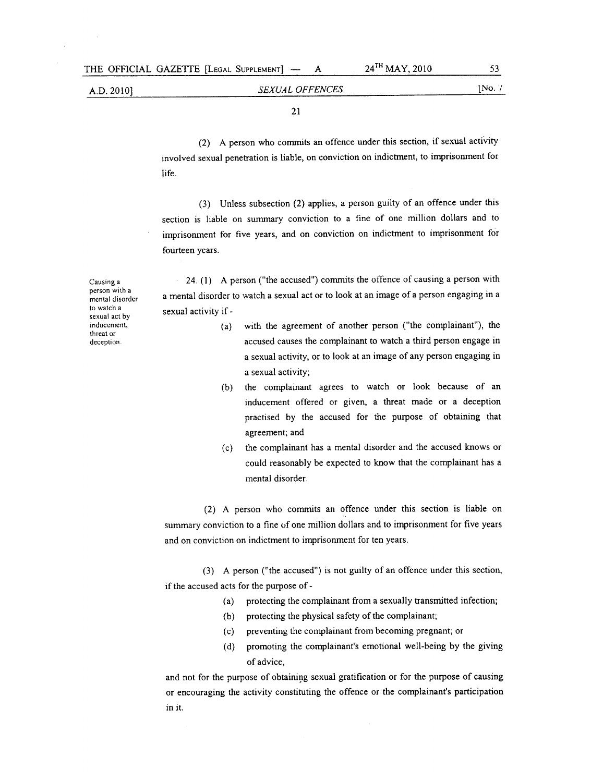*SEXUAL OFFENCES* [No. 1

21

(2) A person who commits an offence under this section, if sexual activity involved sexual penetration is liable, on conviction on indictment, to imprisonment for life.

(3) Unless subsection (2) applies, a person guilty of an offence under this section is liable on summary conviction to a fine of one million dollars and to imprisonment for five years, and on conviction on indictment to imprisonment for fourteen years.

24. (1) A person ("the accused") commits the offence of causing a person with a mental disorder to watch a sexual act or to look at an image of a person engaging in a sexual activity if -

- (a) with the agreement of another person ("the complainant"), the accused causes the complainant to watch a third person engage in a sexual activity, or to look at an image of any person engaging in a sexual activity;
- (b) the complainant agrees to watch or look because of an inducement offered or given, a threat made or a deception practised by the accused for the purpose of obtaining that agreement; and
- (c) the complainant has a mental disorder and the accused knows or could reasonably be expected to know that the complainant has a mental disorder.

(2) A person who commits an offence under this section is liable on summary conviction to a fine of one million dollars and to imprisonment for five years and on conviction on indictment to imprisonment for ten years.

(3) A person ("the accused") is not guilty of an offence under this section, if the accused acts for the purpose of -

- (a) protecting the complainant from a sexually transmitted infection;
- (b) protecting the physical safety of the complainant;
- (c) preventing the complainant from becoming pregnant; or
- (d) promoting the complainant's emotional well-being by the giving of advice,

and not for the purpose of obtaining sexual gratification or for the purpose of causing or encouraging the activity constituting the offence or the complainant's participation in it.

Causing a person with a mental disorder to watch a sexual act by inducement, threat or deception.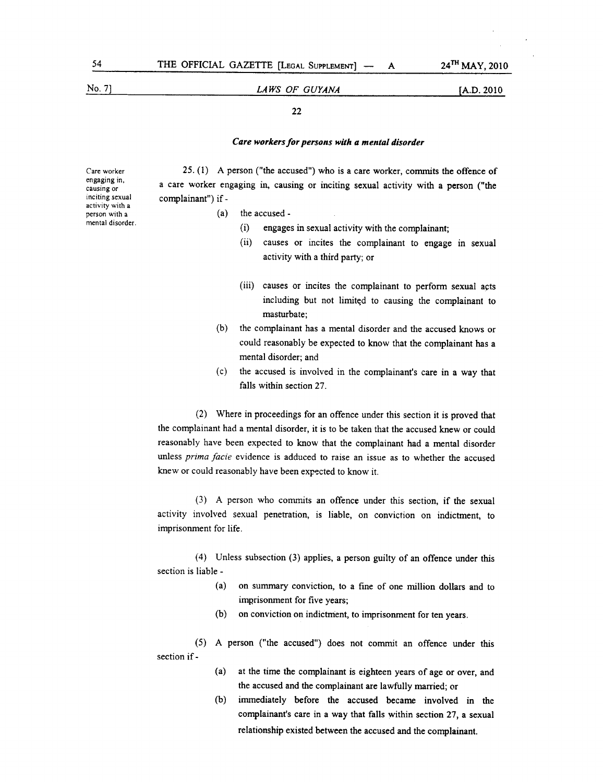Care worker engaging in. causing or inciting sexual activity with a person with a mental disorder.

# No. 7] **LAWS OF GUYANA** [A.D. 2010

#### 22

## *Care workers for persons with a mental disorder*

25. (1) A person ("the accused") who is a care worker, *commits* the offence of a care worker engaging in, causing or inciting sexual activity with a person ("the complainant") if -

- (a) the accused
	- (i) engages in sexual activity with the complainant;
	- (ii) causes or incites the complainant to engage in sexual activity with a third party; or
	- (iii) causes or incites the complainant to perform sexual acts including but not limited to causing the complainant to masturbate;
- (b) the complainant has a mental disorder and the accused knows or could reasonably be expected to know that the complainant has a mental disorder; and
- (c) the accused is involved in the complainant's care in a way that falls within section 27.

(2) Where in proceedings for an offence under this section it is proved that the complainant had a mental disorder, it is to be taken that the accused knew or could reasonably have been expected to know that the complainant had a mental disorder unless *prima facie* evidence is adduced to raise an issue as to whether the accused knew or could reasonably have been expected to know it.

(3) A person who commits an offence under this section, if the sexual activity involved sexual penetration, is liable, on conviction on indictment, to imprisonment for life.

(4) Unless subsection (3) applies, a person guilty of an offence under this section is liable -

- (a) on summary conviction, to a fine of one million dollars and to imprisonment for five years;
- (b) on conviction on indictment, to imprisonment for ten years.

(5) A person ("the accused") does not commit an offence under this section if -

- (a) at the time the complainant is eighteen years of age or over, and the accused and the complainant are lawfully married; or
- (b) immediately before the accused became involved in the complainant's care in a way that falls within section 27, a sexual relationship existed between the accused and the complainant.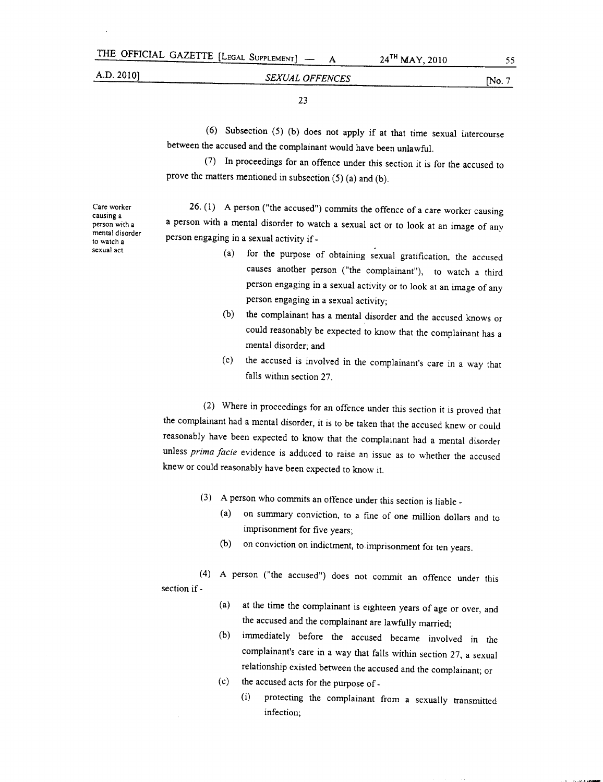$A$  24<sup>TH</sup> MAY, 2010 55

# *SEXUAL OFFENCES* [No. 7

23

(6) Subsection (5) (b) does not apply if at that time sexual intercourse between the accused and the complainant would have been unlawful.

(7) In proceedings for an offence under this section it is for the accused to prove the matters mentioned in subsection (5) (a) and (b).

Care worker causing a person with a mental disorder to watch a sexual act.

26. (1) A person ("the accused") commits the offence of a care worker causing a person with a mental disorder to watch a sexual act or to look at an image of any person engaging in <sup>a</sup> sexual activity if -

- (a) for the purpose of obtaining sexual gratification, the accused causes another person ("the complainant"), to watch a third person engaging in a sexual activity or to look at an image of any person engaging in a sexual activity;
- (b) the complainant has a mental disorder and the accused knows or could reasonably be expected to know that the complainant has a mental disorder; and
- (c) the accused is involved in the complainant's care in a way that falls within section 27.

(2) Where in proceedings for an offence under this section it is proved that the complainant had a mental disorder, it is to be taken that the accused knew or could reasonably have been expected to know that the complainant had a mental disorder unless *prima facie* evidence is adduced to raise an issue as to whether the accused knew or could reasonably have been expected to know it.

- (3) A person who commits an offence under this section is liable \_
	- (a) on summary conviction, to a fine of one million dollars and to imprisonment for five years;
	- (b) on conviction on indictment, to imprisonment for ten years.

(4) A person ("the accused") does not commit an offence under this section if -

- (a) at the time the complainant is eighteen years of age or over, and the accused and the complainant are lawfully married;
- (b) immediately before the accused became involved in the complainant's care in a way that falls within section 27, a sexual relationship existed between the accused and the complainant; or
- (c) the accused acts for the purpose of \_
	- (i) protecting the complainant from a sexually transmitted infection;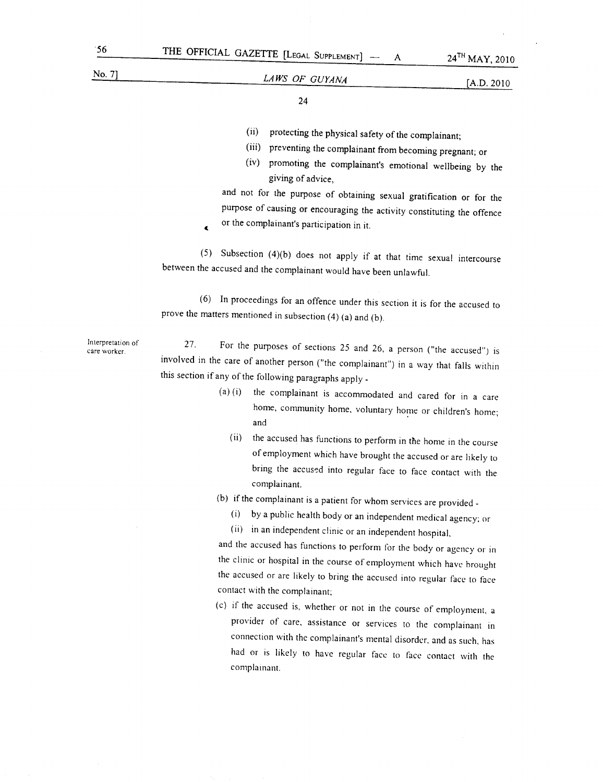$\epsilon$ 

# No.7] *LAWS OF GUYANA* [A.D. <sup>2010</sup>

24

- (ii) protecting the physical safety of the complainant;
- (iii) preventing the complainant from becoming pregnant; or
- (iv) promoting the complainant's emotional wellbeing by the giving of advice,

and not for the purpose of obtaining sexual gratification or for the purpose of causing or encouraging the activity constituting the offence or the complainant's participation in it.

(5) Subsection (4)(b) does not apply if at that time sexual intercourse between the accused and the complainant would have been unlawful.

(6) In proceedings for an offence under this section it is for the accused to prove the matters mentioned in subsection (4) (a) and (b).

Interpretation of care worker.

27. For the purposes of sections 25 and 26, a person ("the accused") is involved in the care of another person ("the complainant") in a way that falls within this section if any of the following paragraphs apply -

- (a) (i) the complainant is accommodated and cared for in a care home, community home, voluntary home or children's home; and
	- (ii) the accused has functions to perform in the home in the course of employment which have brought the accused or are likely to bring the accused into regular face to face contact with the complainant.
- (b) if the complainant is a patient for whom services are provided \_
	- (i) by a public health body or an independent medical agency; or
	- (ii) in an independent clinic or an independent hospital,

and the accused has functions to perform for the body or agency or in the clinic or hospital in the course of employment which have brought the accused or are likely to bring the accused into regular face to face contact with the complainant;

(c) if the accused is, whether or not in the course of employment, a provider of care, assistance or services to the complainant in connection with the complainant's mental disorder, and as such, has had or is likely to have regular face to face contact with the complamant.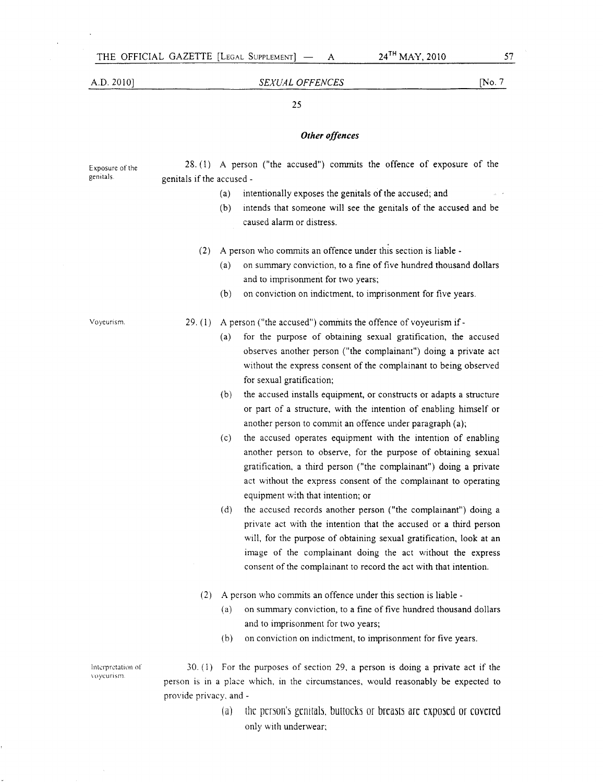Exposure of the genitals.

# A.D. 2010] *SEXUAL OFFENCES* [No. 7

### 25

#### *Other offences*

28. (1) A person ("the accused") commits the offence of exposure of the genitals if the accused -

- (a) intentionally exposes the genitals of the accused; and
	- (b) intends that someone will see the genitals of the accused and be caused alarm or distress.
- (2) <sup>A</sup> person who commits an offence under this section is liable
	- (a) on summary conviction, to a fine of five hundred thousand dollars and to imprisonment for two years;
	- (b) on conviction on indictment, to imprisonment for five years.

Voyeurism.

29.  $(1)$  A person ("the accused") commits the offence of voyeurism if -

- (a) for the purpose of obtaining sexual gratification, the accused observes another person ("the complainant") doing a private act without the express consent of the complainant to being observed for sexual gratification;
- (b) the accused installs equipment, or constructs or adapts a structure or part of a structure, with the intention of enabling himself or another person to commit an offence under paragraph (a);
- (c) the accused operates equipment with the intention of enabling another person to observe, for the purpose of obtaining sexual gratification, a third person ("the complainant") doing a private act without the express consent of the complainant to operating equipment with that intention; or
- (d) the accused records another person ("the complainant") doing a private act with the intention that the accused or a third person will, for the purpose of obtaining sexual gratification, look at an image of the complainant doing the act without the express consent of the complainant to record the act with that intention.
- (2) <sup>A</sup> person who commits an offence under this section is liable
	- (a) on summary conviction, to a fine of five hundred thousand dollars and to imprisonment for two years;
	- (b) on conviction on indictment, to imprisonment for five years.

Interpretation of \-nycunsm

30. (1) For the purposes of section 29, a person is doing a private act if the person is in a place which, in the circumstances, would reasonably be expected to provide privacy, and -

> (a) the person's genitals, buttocks or breasts are exposed or covered only with underwear;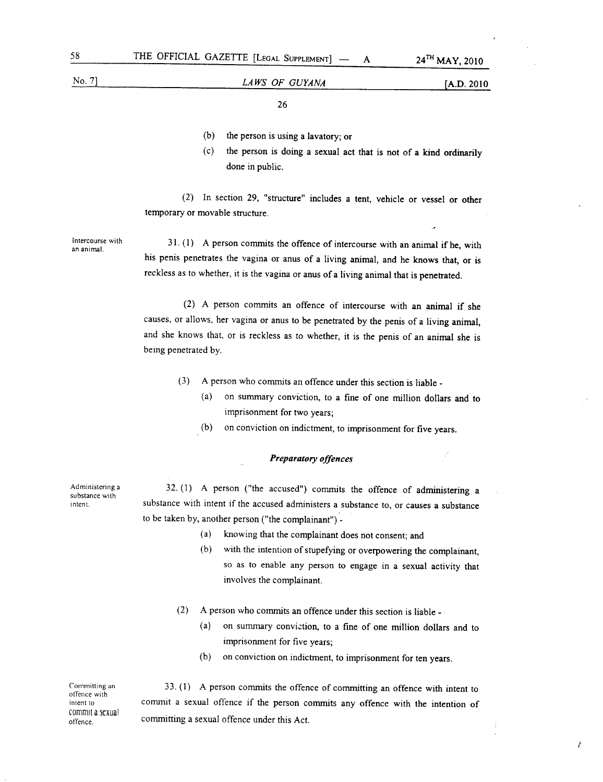# No.7] A.D. 2010 *LAWS OF GUYANA*

A

26

- (b) the person is using a lavatory; or
- (c) the person is doing a sexual act that is not of a kind ordinarily done in public.

(2) In section 29, "structure" includes a tent, vehicle or vessel or other temporary or movable structure.

Intercourse with an animal.

31. (1) A person commits the offence of intercourse with an animal if he, with his penis penetrates the vagina or anus of a living animal, and he knows that, or is reckless as to whether, it is the vagina or anus of a living animal that is penetrated.

(2) A person commits an offence of intercourse with an animal if she causes, or allows, her vagina or anus to be penetrated by the penis of a living animal, and she knows that, or is reckless as to whether, it is the penis of an animal she is being penetrated by.

- (3) A person who commits an offence under this section is liable \_
	- (a) on summary conviction, to a fine of one million dollars and to imprisonment for two years;
	- (b) on conviction on indictment, to imprisonment for five years.

#### *Preparatory offences*

Administering a substance with intent.

32. (1) A person ("the accused") commits the offence of administering a substance with intent if the accused administers a substance to, or causes a substance to be taken by, another person ("the complainant") -

- (a) knowing that the complainant does not consent; and
- (b) with the intention of stupefying or overpowering the complainant, so as to enable any person to engage in a sexual activity that involves the complainant.
- (2) A person who commits an offence under this section is liable  $-\frac{1}{2}$ 
	- (a) on summary conviction, to a fine of one million dollars and to imprisonment for five years;
	- (b) on conviction on indictment, to imprisonment for ten years.

Committing an offence with intent to commit a sexual offence.

33. (1) A person commits the offence of committing an offence with intent to commit a sexual offence if the person commits any offence with the intention of committing a sexual offence under this Act.